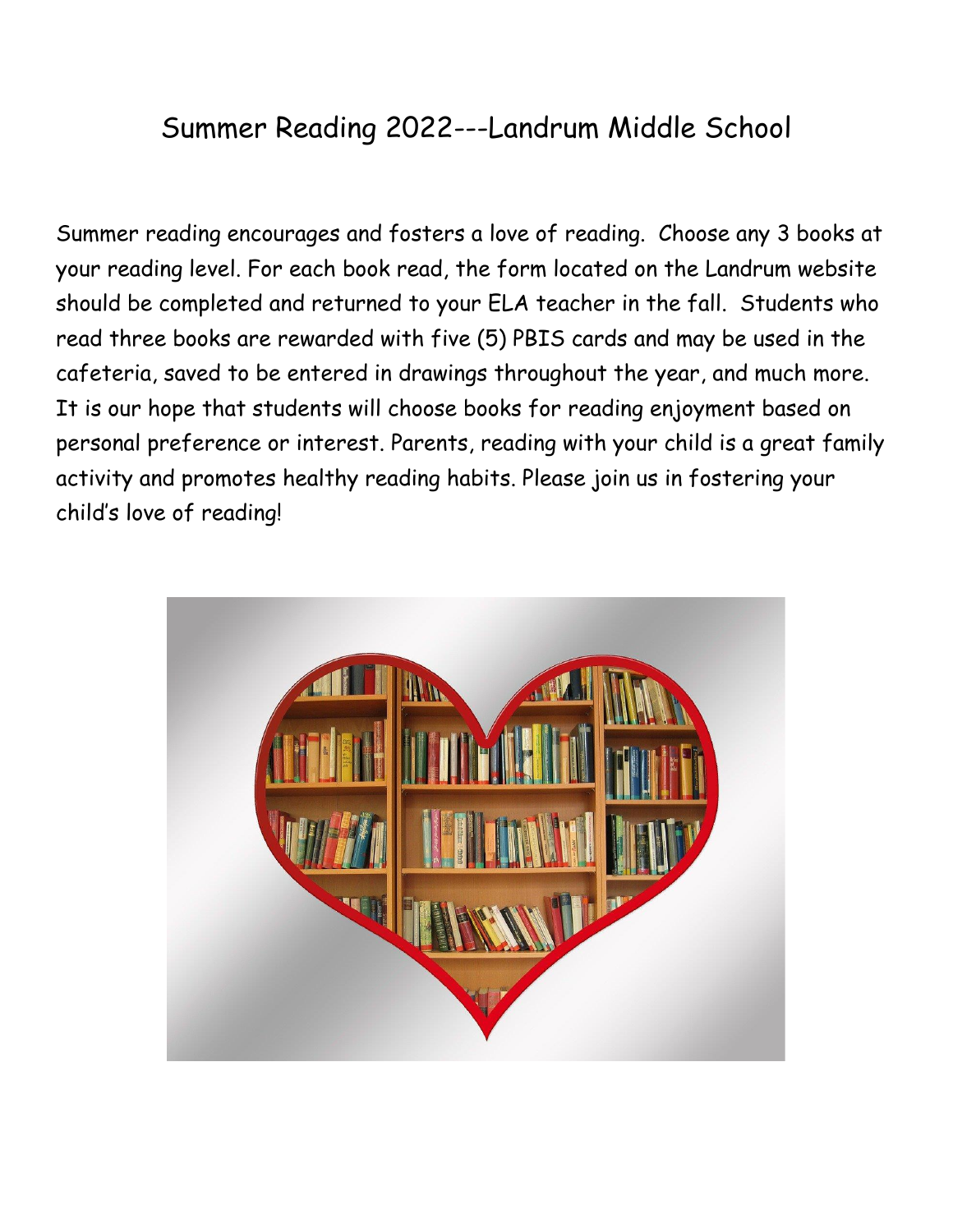## Summer Reading 2022---Landrum Middle School

Summer reading encourages and fosters a love of reading. Choose any 3 books at your reading level. For each book read, the form located on the Landrum website should be completed and returned to your ELA teacher in the fall. Students who read three books are rewarded with five (5) PBIS cards and may be used in the cafeteria, saved to be entered in drawings throughout the year, and much more. It is our hope that students will choose books for reading enjoyment based on personal preference or interest. Parents, reading with your child is a great family activity and promotes healthy reading habits. Please join us in fostering your child's love of reading!